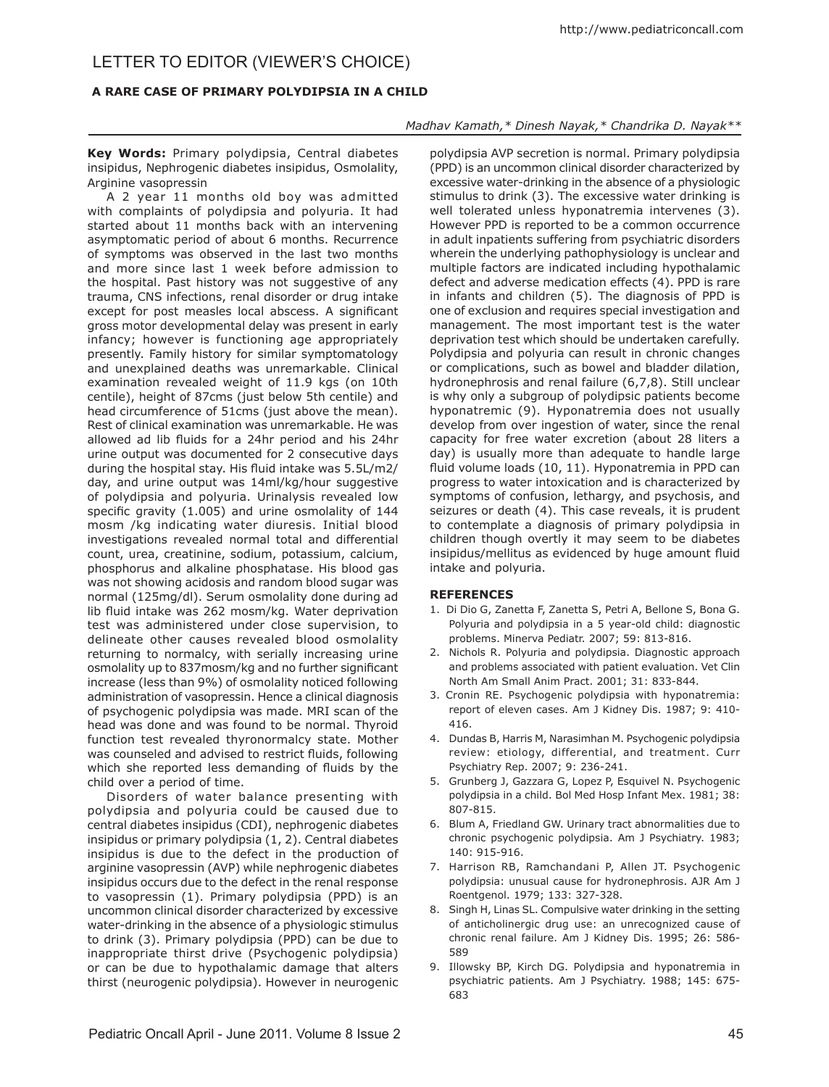## Letter to editor (Viewer's Choice)

## **A RARE CASE OF PRIMARY POLYDIPSIA IN A CHILD**

## *Madhav Kamath,\* Dinesh Nayak,\* Chandrika D. Nayak\*\**

**Key Words:** Primary polydipsia, Central diabetes insipidus, Nephrogenic diabetes insipidus, Osmolality, Arginine vasopressin

A 2 year 11 months old boy was admitted with complaints of polydipsia and polyuria. It had started about 11 months back with an intervening asymptomatic period of about 6 months. Recurrence of symptoms was observed in the last two months and more since last 1 week before admission to the hospital. Past history was not suggestive of any trauma, CNS infections, renal disorder or drug intake except for post measles local abscess. A significant gross motor developmental delay was present in early infancy; however is functioning age appropriately presently. Family history for similar symptomatology and unexplained deaths was unremarkable. Clinical examination revealed weight of 11.9 kgs (on 10th centile), height of 87cms (just below 5th centile) and head circumference of 51cms (just above the mean). Rest of clinical examination was unremarkable. He was allowed ad lib fluids for a 24hr period and his 24hr urine output was documented for 2 consecutive days during the hospital stay. His fluid intake was 5.5L/m2/ day, and urine output was 14ml/kg/hour suggestive of polydipsia and polyuria. Urinalysis revealed low specific gravity (1.005) and urine osmolality of 144 mosm /kg indicating water diuresis. Initial blood investigations revealed normal total and differential count, urea, creatinine, sodium, potassium, calcium, phosphorus and alkaline phosphatase. His blood gas was not showing acidosis and random blood sugar was normal (125mg/dl). Serum osmolality done during ad lib fluid intake was 262 mosm/kg. Water deprivation test was administered under close supervision, to delineate other causes revealed blood osmolality returning to normalcy, with serially increasing urine osmolality up to 837mosm/kg and no further significant increase (less than 9%) of osmolality noticed following administration of vasopressin. Hence a clinical diagnosis of psychogenic polydipsia was made. MRI scan of the head was done and was found to be normal. Thyroid function test revealed thyronormalcy state. Mother was counseled and advised to restrict fluids, following which she reported less demanding of fluids by the child over a period of time.

Disorders of water balance presenting with polydipsia and polyuria could be caused due to central diabetes insipidus (CDI), nephrogenic diabetes insipidus or primary polydipsia (1, 2). Central diabetes insipidus is due to the defect in the production of arginine vasopressin (AVP) while nephrogenic diabetes insipidus occurs due to the defect in the renal response to vasopressin (1). Primary polydipsia (PPD) is an uncommon clinical disorder characterized by excessive water-drinking in the absence of a physiologic stimulus to drink (3). Primary polydipsia (PPD) can be due to inappropriate thirst drive (Psychogenic polydipsia) or can be due to hypothalamic damage that alters thirst (neurogenic polydipsia). However in neurogenic

polydipsia AVP secretion is normal. Primary polydipsia (PPD) is an uncommon clinical disorder characterized by excessive water-drinking in the absence of a physiologic stimulus to drink (3). The excessive water drinking is well tolerated unless hyponatremia intervenes (3). However PPD is reported to be a common occurrence in adult inpatients suffering from psychiatric disorders wherein the underlying pathophysiology is unclear and multiple factors are indicated including hypothalamic defect and adverse medication effects (4). PPD is rare in infants and children (5). The diagnosis of PPD is one of exclusion and requires special investigation and management. The most important test is the water deprivation test which should be undertaken carefully. Polydipsia and polyuria can result in chronic changes or complications, such as bowel and bladder dilation, hydronephrosis and renal failure (6,7,8). Still unclear is why only a subgroup of polydipsic patients become hyponatremic (9). Hyponatremia does not usually develop from over ingestion of water, since the renal capacity for free water excretion (about 28 liters a day) is usually more than adequate to handle large fluid volume loads (10, 11). Hyponatremia in PPD can progress to water intoxication and is characterized by symptoms of confusion, lethargy, and psychosis, and seizures or death (4). This case reveals, it is prudent to contemplate a diagnosis of primary polydipsia in children though overtly it may seem to be diabetes insipidus/mellitus as evidenced by huge amount fluid intake and polyuria.

## **REFERENCES**

- 1. Di Dio G, Zanetta F, Zanetta S, Petri A, Bellone S, Bona G. Polyuria and polydipsia in a 5 year-old child: diagnostic problems. Minerva Pediatr. 2007; 59: 813-816.
- 2. Nichols R. Polyuria and polydipsia. Diagnostic approach and problems associated with patient evaluation. Vet Clin North Am Small Anim Pract. 2001; 31: 833-844.
- 3. Cronin RE. Psychogenic polydipsia with hyponatremia: report of eleven cases. Am J Kidney Dis. 1987; 9: 410- 416.
- 4. Dundas B, Harris M, Narasimhan M. Psychogenic polydipsia review: etiology, differential, and treatment. Curr Psychiatry Rep. 2007; 9: 236-241.
- 5. Grunberg J, Gazzara G, Lopez P, Esquivel N. Psychogenic polydipsia in a child. Bol Med Hosp Infant Mex. 1981; 38: 807-815.
- 6. Blum A, Friedland GW. Urinary tract abnormalities due to chronic psychogenic polydipsia. Am J Psychiatry. 1983; 140: 915-916.
- 7. Harrison RB, Ramchandani P, Allen JT. Psychogenic polydipsia: unusual cause for hydronephrosis. AJR Am J Roentgenol. 1979; 133: 327-328.
- 8. Singh H, Linas SL. Compulsive water drinking in the setting of anticholinergic drug use: an unrecognized cause of chronic renal failure. Am J Kidney Dis. 1995; 26: 586- 589
- 9. Illowsky BP, Kirch DG. Polydipsia and hyponatremia in psychiatric patients. Am J Psychiatry. 1988; 145: 675- 683